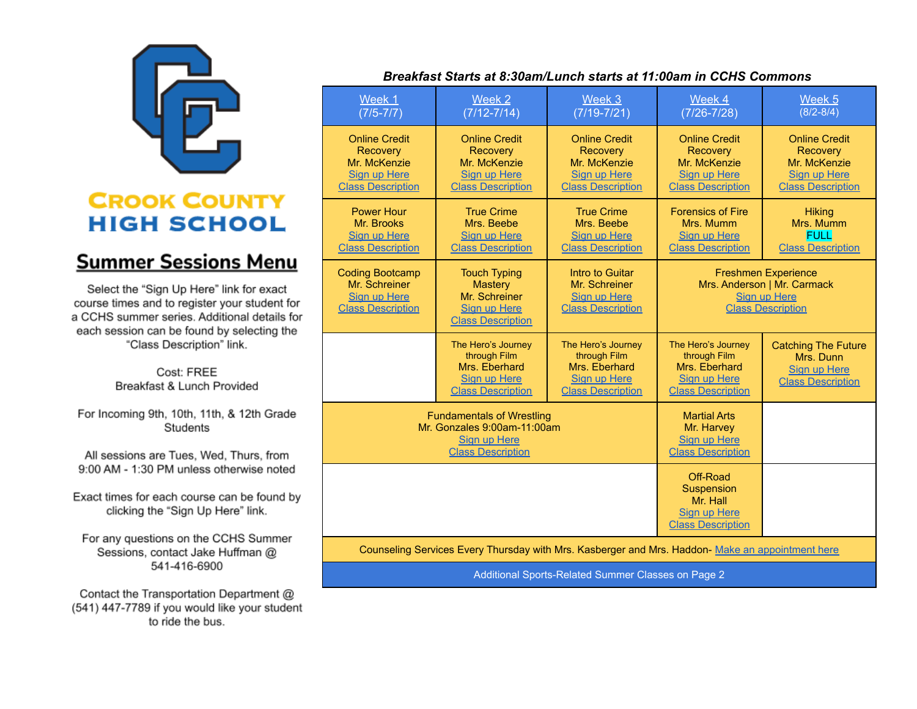

## **CROOK COUNTY HIGH SCHOOL**

## **Summer Sessions Menu**

Select the "Sign Up Here" link for exact course times and to register your student for a CCHS summer series. Additional details for each session can be found by selecting the "Class Description" link.

> Cost: FREE Breakfast & Lunch Provided

For Incoming 9th, 10th, 11th, & 12th Grade Students

All sessions are Tues, Wed, Thurs, from 9:00 AM - 1:30 PM unless otherwise noted

Exact times for each course can be found by clicking the "Sign Up Here" link.

For any questions on the CCHS Summer Sessions, contact Jake Huffman @ 541-416-6900

Contact the Transportation Department @ (541) 447-7789 if you would like your student to ride the bus.

## Breakfast Starts at 8:30am/Lunch starts at 11:00am in CCHS Commons

| Week 1<br>$(7/5 - 7/7)$                                                                                            | Week 2<br>$(7/12 - 7/14)$                                                                                 | Week 3<br>$(7/19 - 7/21)$                                                                           | Week 4<br>$(7/26 - 7/28)$                                                                                    | Week <sub>5</sub><br>$(8/2 - 8/4)$                                                                  |
|--------------------------------------------------------------------------------------------------------------------|-----------------------------------------------------------------------------------------------------------|-----------------------------------------------------------------------------------------------------|--------------------------------------------------------------------------------------------------------------|-----------------------------------------------------------------------------------------------------|
| <b>Online Credit</b><br><b>Recovery</b><br>Mr. McKenzie<br><b>Sign up Here</b><br><b>Class Description</b>         | <b>Online Credit</b><br>Recovery<br>Mr. McKenzie<br><b>Sign up Here</b><br><b>Class Description</b>       | <b>Online Credit</b><br><b>Recovery</b><br>Mr. McKenzie<br>Sign up Here<br><b>Class Description</b> | <b>Online Credit</b><br>Recovery<br>Mr. McKenzie<br>Sign up Here<br><b>Class Description</b>                 | <b>Online Credit</b><br><b>Recovery</b><br>Mr. McKenzie<br>Sign up Here<br><b>Class Description</b> |
| <b>Power Hour</b><br>Mr. Brooks<br>Sign up Here<br><b>Class Description</b>                                        | <b>True Crime</b><br>Mrs. Beebe<br>Sign up Here<br><b>Class Description</b>                               | <b>True Crime</b><br>Mrs. Beebe<br>Sign up Here<br><b>Class Description</b>                         | <b>Forensics of Fire</b><br>Mrs. Mumm<br>Sign up Here<br><b>Class Description</b>                            | <b>Hiking</b><br>Mrs. Mumm<br><b>FULL</b><br><b>Class Description</b>                               |
| <b>Coding Bootcamp</b><br>Mr. Schreiner<br><b>Sign up Here</b><br><b>Class Description</b>                         | <b>Touch Typing</b><br><b>Mastery</b><br>Mr. Schreiner<br><b>Sign up Here</b><br><b>Class Description</b> | Intro to Guitar<br>Mr. Schreiner<br>Sign up Here<br><b>Class Description</b>                        | <b>Freshmen Experience</b><br>Mrs. Anderson   Mr. Carmack<br><b>Sign up Here</b><br><b>Class Description</b> |                                                                                                     |
|                                                                                                                    | The Hero's Journey<br>through Film<br>Mrs. Eberhard<br>Sign up Here<br><b>Class Description</b>           | The Hero's Journey<br>through Film<br>Mrs. Eberhard<br>Sign up Here<br><b>Class Description</b>     | The Hero's Journey<br>through Film<br>Mrs. Eberhard<br>Sign up Here<br><b>Class Description</b>              | <b>Catching The Future</b><br>Mrs. Dunn<br>Sign up Here<br><b>Class Description</b>                 |
| <b>Fundamentals of Wrestling</b><br>Mr. Gonzales 9:00am-11:00am<br><b>Sign up Here</b><br><b>Class Description</b> |                                                                                                           |                                                                                                     | <b>Martial Arts</b><br>Mr. Harvey<br><b>Sign up Here</b><br><b>Class Description</b>                         |                                                                                                     |
|                                                                                                                    |                                                                                                           |                                                                                                     | Off-Road<br>Suspension<br>Mr. Hall<br><b>Sign up Here</b><br><b>Class Description</b>                        |                                                                                                     |
| Counseling Services Every Thursday with Mrs. Kasberger and Mrs. Haddon- Make an appointment here                   |                                                                                                           |                                                                                                     |                                                                                                              |                                                                                                     |

Additional Sports-Related Summer Classes on Page 2